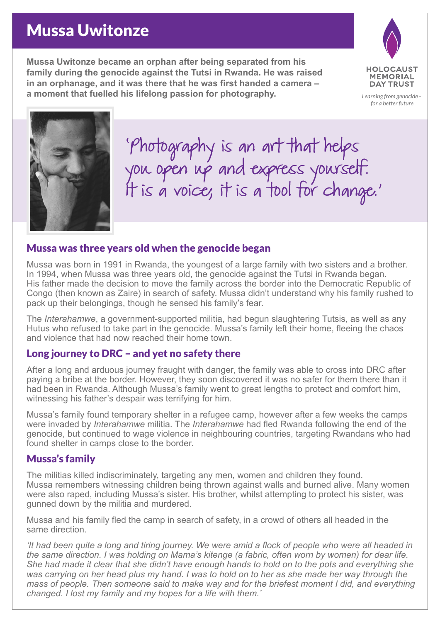## Mussa Uwitonze

**Mussa Uwitonze became an orphan after being separated from his family during the genocide against the Tutsi in Rwanda. He was raised in an orphanage, and it was there that he was first handed a camera – a moment that fuelled his lifelong passion for photography.**



*Learning from genocide for a better future*



'Photography is an art that helps you open up and express yourself. IT is a voice, it is a tool for change.'

### Mussa was three years old when the genocide began

Mussa was born in 1991 in Rwanda, the youngest of a large family with two sisters and a brother. In 1994, when Mussa was three years old, the genocide against the Tutsi in Rwanda began. His father made the decision to move the family across the border into the Democratic Republic of Congo (then known as Zaire) in search of safety. Mussa didn't understand why his family rushed to pack up their belongings, though he sensed his family's fear.

The *Interahamwe*, a government-supported militia, had begun slaughtering Tutsis, as well as any Hutus who refused to take part in the genocide. Mussa's family left their home, fleeing the chaos and violence that had now reached their home town.

### Long journey to DRC – and yet no safety there

After a long and arduous journey fraught with danger, the family was able to cross into DRC after paying a bribe at the border. However, they soon discovered it was no safer for them there than it had been in Rwanda. Although Mussa's family went to great lengths to protect and comfort him, witnessing his father's despair was terrifying for him.

Mussa's family found temporary shelter in a refugee camp, however after a few weeks the camps were invaded by *Interahamwe* militia. The *Interahamwe* had fled Rwanda following the end of the genocide, but continued to wage violence in neighbouring countries, targeting Rwandans who had found shelter in camps close to the border.

### Mussa's family

The militias killed indiscriminately, targeting any men, women and children they found. Mussa remembers witnessing children being thrown against walls and burned alive. Many women were also raped, including Mussa's sister. His brother, whilst attempting to protect his sister, was gunned down by the militia and murdered.

Mussa and his family fled the camp in search of safety, in a crowd of others all headed in the same direction.

*'It had been quite a long and tiring journey. We were amid a flock of people who were all headed in the same direction. I was holding on Mama's kitenge (a fabric, often worn by women) for dear life. She had made it clear that she didn't have enough hands to hold on to the pots and everything she was carrying on her head plus my hand. I was to hold on to her as she made her way through the mass of people. Then someone said to make way and for the briefest moment I did, and everything changed. I lost my family and my hopes for a life with them.'*